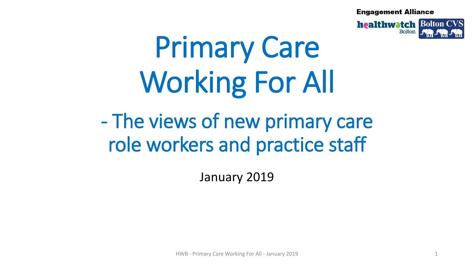**Engagement Alliance** 



# Primary Care Working For All

# - The views of new primary care role workers and practice staff

January 2019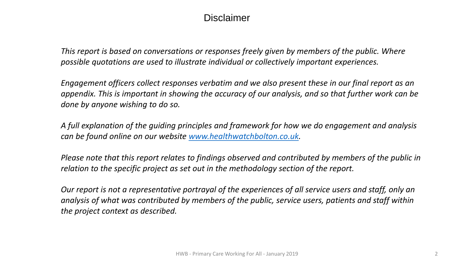# **Disclaimer**

*This report is based on conversations or responses freely given by members of the public. Where possible quotations are used to illustrate individual or collectively important experiences.* 

*Engagement officers collect responses verbatim and we also present these in our final report as an appendix. This is important in showing the accuracy of our analysis, and so that further work can be done by anyone wishing to do so.*

*A full explanation of the guiding principles and framework for how we do engagement and analysis can be found online on our website [www.healthwatchbolton.co.uk](http://www.healthwatchbolton.co.uk/).*

*Please note that this report relates to findings observed and contributed by members of the public in relation to the specific project as set out in the methodology section of the report.* 

*Our report is not a representative portrayal of the experiences of all service users and staff, only an analysis of what was contributed by members of the public, service users, patients and staff within the project context as described.*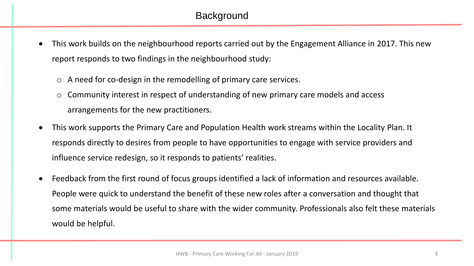# **Background**

- This work builds on the neighbourhood reports carried out by the Engagement Alliance in 2017. This new report responds to two findings in the neighbourhood study:
	- o A need for co-design in the remodelling of primary care services.
	- o Community interest in respect of understanding of new primary care models and access arrangements for the new practitioners.
- This work supports the Primary Care and Population Health work streams within the Locality Plan. It responds directly to desires from people to have opportunities to engage with service providers and influence service redesign, so it responds to patients' realities.
- Feedback from the first round of focus groups identified a lack of information and resources available. People were quick to understand the benefit of these new roles after a conversation and thought that some materials would be useful to share with the wider community. Professionals also felt these materials would be helpful.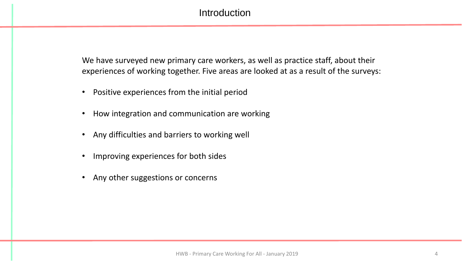# **Introduction**

We have surveyed new primary care workers, as well as practice staff, about their experiences of working together. Five areas are looked at as a result of the surveys:

- Positive experiences from the initial period
- How integration and communication are working
- Any difficulties and barriers to working well
- Improving experiences for both sides
- Any other suggestions or concerns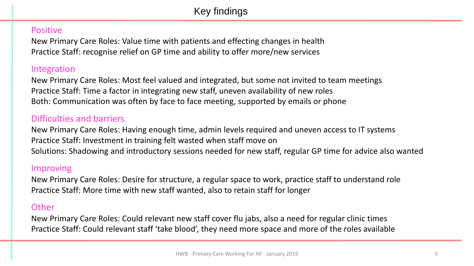#### **Positive**

New Primary Care Roles: Value time with patients and effecting changes in health Practice Staff: recognise relief on GP time and ability to offer more/new services

#### Integration

New Primary Care Roles: Most feel valued and integrated, but some not invited to team meetings Practice Staff: Time a factor in integrating new staff, uneven availability of new roles Both: Communication was often by face to face meeting, supported by emails or phone

# Difficulties and barriers

New Primary Care Roles: Having enough time, admin levels required and uneven access to IT systems Practice Staff: Investment in training felt wasted when staff move on Solutions: Shadowing and introductory sessions needed for new staff, regular GP time for advice also wanted

#### Improving

New Primary Care Roles: Desire for structure, a regular space to work, practice staff to understand role Practice Staff: More time with new staff wanted, also to retain staff for longer

#### **Other**

New Primary Care Roles: Could relevant new staff cover flu jabs, also a need for regular clinic times Practice Staff: Could relevant staff 'take blood', they need more space and more of the roles available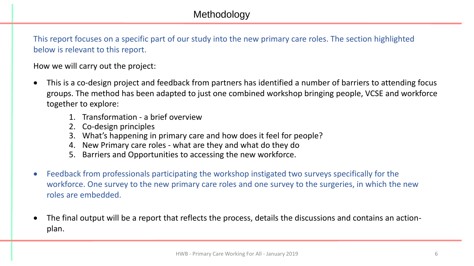This report focuses on a specific part of our study into the new primary care roles. The section highlighted below is relevant to this report.

How we will carry out the project:

- This is a co-design project and feedback from partners has identified a number of barriers to attending focus groups. The method has been adapted to just one combined workshop bringing people, VCSE and workforce together to explore:
	- 1. Transformation a brief overview
	- 2. Co-design principles
	- 3. What's happening in primary care and how does it feel for people?
	- 4. New Primary care roles what are they and what do they do
	- 5. Barriers and Opportunities to accessing the new workforce.
- Feedback from professionals participating the workshop instigated two surveys specifically for the workforce. One survey to the new primary care roles and one survey to the surgeries, in which the new roles are embedded.
- The final output will be a report that reflects the process, details the discussions and contains an actionplan.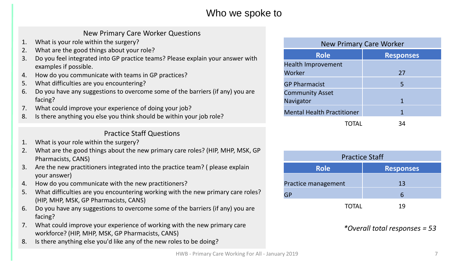# Who we spoke to

#### New Primary Care Worker Questions

- 1. What is your role within the surgery?
- 2. What are the good things about your role?
- 3. Do you feel integrated into GP practice teams? Please explain your answer with examples if possible.
- 4. How do you communicate with teams in GP practices?
- 5. What difficulties are you encountering?
- 6. Do you have any suggestions to overcome some of the barriers (if any) you are facing?
- 7. What could improve your experience of doing your job?
- 8. Is there anything you else you think should be within your job role?

#### Practice Staff Questions

- 1. What is your role within the surgery?
- 2. What are the good things about the new primary care roles? (HIP, MHP, MSK, GP Pharmacists, CANS)
- 3. Are the new practitioners integrated into the practice team? ( please explain your answer)
- 4. How do you communicate with the new practitioners?
- 5. What difficulties are you encountering working with the new primary care roles? (HIP, MHP, MSK, GP Pharmacists, CANS)
- 6. Do you have any suggestions to overcome some of the barriers (if any) you are facing?
- 7. What could improve your experience of working with the new primary care workforce? (HIP, MHP, MSK, GP Pharmacists, CANS)
- 8. Is there anything else you'd like any of the new roles to be doing?

| <b>New Primary Care Worker</b>    |                  |
|-----------------------------------|------------------|
| <b>Role</b>                       | <b>Responses</b> |
| Health Improvement                |                  |
| Worker                            | 27               |
| <b>GP Pharmacist</b>              | 5                |
| <b>Community Asset</b>            |                  |
| Navigator                         | 1                |
| <b>Mental Health Practitioner</b> | 1                |
|                                   | 34               |

| <b>Practice Staff</b> |                  |
|-----------------------|------------------|
| <b>Role</b>           | <b>Responses</b> |
| Practice management   | 13               |
|                       | h                |
| <b>TOTAL</b>          | 19               |

*\*Overall total responses = 53*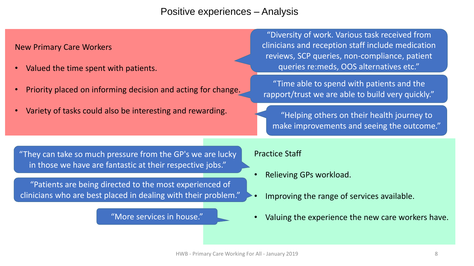# Positive experiences – Analysis

#### New Primary Care Workers

- Valued the time spent with patients.
- Priority placed on informing decision and acting for change.
- Variety of tasks could also be interesting and rewarding.

"Diversity of work. Various task received from clinicians and reception staff include medication reviews, SCP queries, non-compliance, patient queries re:meds, OOS alternatives etc."

"Time able to spend with patients and the rapport/trust we are able to build very quickly."

"Helping others on their health journey to make improvements and seeing the outcome."

"They can take so much pressure from the GP's we are lucky in those we have are fantastic at their respective jobs."

"Patients are being directed to the most experienced of clinicians who are best placed in dealing with their problem."

"More services in house."

- Relieving GPs workload.
- Improving the range of services available.
- Valuing the experience the new care workers have.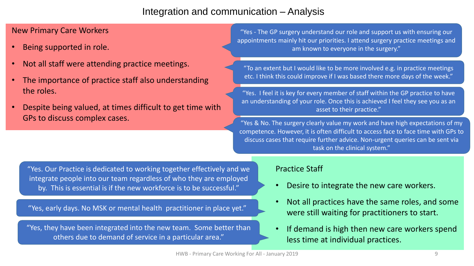# Integration and communication – Analysis

#### New Primary Care Workers

- Being supported in role.
- Not all staff were attending practice meetings.
- The importance of practice staff also understanding the roles.
- Despite being valued, at times difficult to get time with GPs to discuss complex cases.

"Yes - The GP surgery understand our role and support us with ensuring our appointments mainly hit our priorities. I attend surgery practice meetings and am known to everyone in the surgery."

"To an extent but I would like to be more involved e.g. in practice meetings etc. I think this could improve if I was based there more days of the week."

"Yes. I feel it is key for every member of staff within the GP practice to have an understanding of your role. Once this is achieved I feel they see you as an asset to their practice."

"Yes & No. The surgery clearly value my work and have high expectations of my competence. However, it is often difficult to access face to face time with GPs to discuss cases that require further advice. Non-urgent queries can be sent via task on the clinical system."

"Yes. Our Practice is dedicated to working together effectively and we integrate people into our team regardless of who they are employed by. This is essential is if the new workforce is to be successful."

"Yes, early days. No MSK or mental health practitioner in place yet."

"Yes, they have been integrated into the new team. Some better than others due to demand of service in a particular area."

- Desire to integrate the new care workers.
- Not all practices have the same roles, and some were still waiting for practitioners to start.
- If demand is high then new care workers spend less time at individual practices.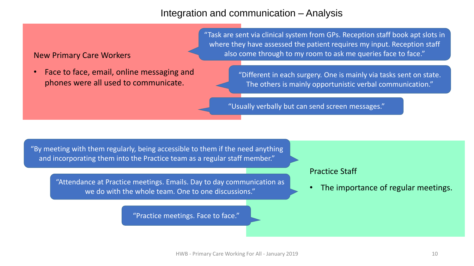## Integration and communication – Analysis

#### New Primary Care Workers

• Face to face, email, online messaging and phones were all used to communicate.

"Task are sent via clinical system from GPs. Reception staff book apt slots in where they have assessed the patient requires my input. Reception staff also come through to my room to ask me queries face to face."

> "Different in each surgery. One is mainly via tasks sent on state. The others is mainly opportunistic verbal communication."

"Usually verbally but can send screen messages."

"By meeting with them regularly, being accessible to them if the need anything and incorporating them into the Practice team as a regular staff member."

"Attendance at Practice meetings. Emails. Day to day communication as we do with the whole team. One to one discussions."

"Practice meetings. Face to face."

#### Practice Staff

• The importance of regular meetings.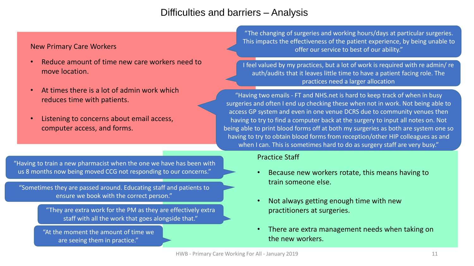# Difficulties and barriers – Analysis

#### New Primary Care Workers

- Reduce amount of time new care workers need to move location.
- At times there is a lot of admin work which reduces time with patients.
- Listening to concerns about email access, computer access, and forms.

"The changing of surgeries and working hours/days at particular surgeries. This impacts the effectiveness of the patient experience, by being unable to offer our service to best of our ability."

I feel valued by my practices, but a lot of work is required with re admin/ re auth/audits that it leaves little time to have a patient facing role. The practices need a larger allocation

"Having two emails - FT and NHS.net is hard to keep track of when in busy surgeries and often I end up checking these when not in work. Not being able to access GP system and even in one venue DCRS due to community venues then having to try to find a computer back at the surgery to input all notes on. Not being able to print blood forms off at both my surgeries as both are system one so having to try to obtain blood forms from reception/other HIP colleagues as and when I can. This is sometimes hard to do as surgery staff are very busy."

#### "Having to train a new pharmacist when the one we have has been with us 8 months now being moved CCG not responding to our concerns."

"Sometimes they are passed around. Educating staff and patients to ensure we book with the correct person."

> "They are extra work for the PM as they are effectively extra staff with all the work that goes alongside that."

"At the moment the amount of time we are seeing them in practice."

- Because new workers rotate, this means having to train someone else.
- Not always getting enough time with new practitioners at surgeries.
- There are extra management needs when taking on the new workers.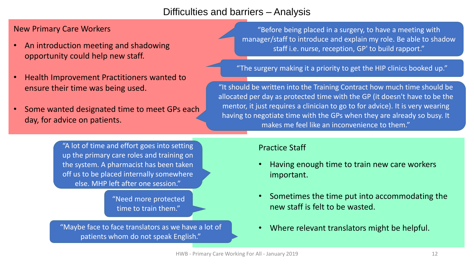# Difficulties and barriers – Analysis

#### New Primary Care Workers

- An introduction meeting and shadowing opportunity could help new staff.
- Health Improvement Practitioners wanted to ensure their time was being used.
- Some wanted designated time to meet GPs each day, for advice on patients.

"A lot of time and effort goes into setting up the primary care roles and training on the system. A pharmacist has been taken off us to be placed internally somewhere else. MHP left after one session."

> "Need more protected time to train them."

"Maybe face to face translators as we have a lot of patients whom do not speak English."

"Before being placed in a surgery, to have a meeting with manager/staff to introduce and explain my role. Be able to shadow staff i.e. nurse, reception, GP' to build rapport."

"The surgery making it a priority to get the HIP clinics booked up."

"It should be written into the Training Contract how much time should be allocated per day as protected time with the GP (it doesn't have to be the mentor, it just requires a clinician to go to for advice). It is very wearing having to negotiate time with the GPs when they are already so busy. It makes me feel like an inconvenience to them."

- Having enough time to train new care workers important.
- Sometimes the time put into accommodating the new staff is felt to be wasted.
- Where relevant translators might be helpful.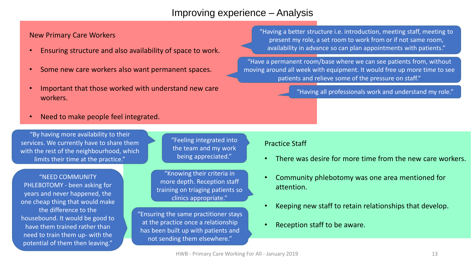# Improving experience – Analysis

New Primary Care Workers

- Ensuring structure and also availability of space to work.
- Some new care workers also want permanent spaces.
- Important that those worked with understand new care workers.
- Need to make people feel integrated.

"By having more availability to their services. We currently have to share them with the rest of the neighbourhood, which limits their time at the practice."

"NEED COMMUNITY PHLEBOTOMY - been asking for years and never happened, the one cheap thing that would make the difference to the housebound. It would be good to have them trained rather than need to train them up- with the potential of them then leaving."

"Feeling integrated into the team and my work being appreciated."

"Knowing their criteria in more depth. Reception staff training on triaging patients so clinics appropriate."

"Ensuring the same practitioner stays at the practice once a relationship has been built up with patients and not sending them elsewhere."

"Having a better structure i.e. introduction, meeting staff, meeting to present my role, a set room to work from or if not same room, availability in advance so can plan appointments with patients."

"Have a permanent room/base where we can see patients from, without moving around all week with equipment. It would free up more time to see patients and relieve some of the pressure on staff."

"Having all professionals work and understand my role."

- There was desire for more time from the new care workers.
- Community phlebotomy was one area mentioned for attention.
- Keeping new staff to retain relationships that develop.
- Reception staff to be aware.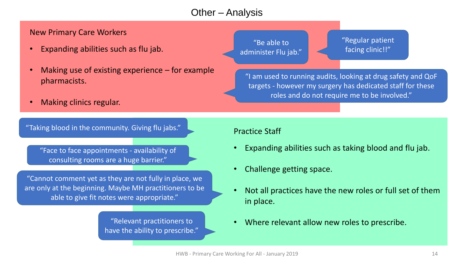# Other – Analysis

#### New Primary Care Workers

- Expanding abilities such as flu jab.
- Making use of existing experience  $-$  for example pharmacists.
- Making clinics regular.

"Be able to administer Flu jab." "Regular patient facing clinic!!"

"I am used to running audits, looking at drug safety and QoF targets - however my surgery has dedicated staff for these roles and do not require me to be involved."

"Taking blood in the community. Giving flu jabs."

"Face to face appointments - availability of consulting rooms are a huge barrier."

"Cannot comment yet as they are not fully in place, we are only at the beginning. Maybe MH practitioners to be able to give fit notes were appropriate."

> "Relevant practitioners to have the ability to prescribe."

- Expanding abilities such as taking blood and flu jab.
- Challenge getting space.
- Not all practices have the new roles or full set of them in place.
- Where relevant allow new roles to prescribe.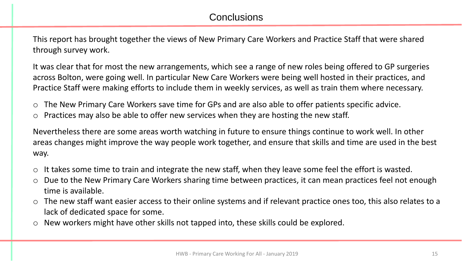# **Conclusions**

This report has brought together the views of New Primary Care Workers and Practice Staff that were shared through survey work.

It was clear that for most the new arrangements, which see a range of new roles being offered to GP surgeries across Bolton, were going well. In particular New Care Workers were being well hosted in their practices, and Practice Staff were making efforts to include them in weekly services, as well as train them where necessary.

- o The New Primary Care Workers save time for GPs and are also able to offer patients specific advice.
- o Practices may also be able to offer new services when they are hosting the new staff.

Nevertheless there are some areas worth watching in future to ensure things continue to work well. In other areas changes might improve the way people work together, and ensure that skills and time are used in the best way.

- o It takes some time to train and integrate the new staff, when they leave some feel the effort is wasted.
- o Due to the New Primary Care Workers sharing time between practices, it can mean practices feel not enough time is available.
- o The new staff want easier access to their online systems and if relevant practice ones too, this also relates to a lack of dedicated space for some.
- o New workers might have other skills not tapped into, these skills could be explored.